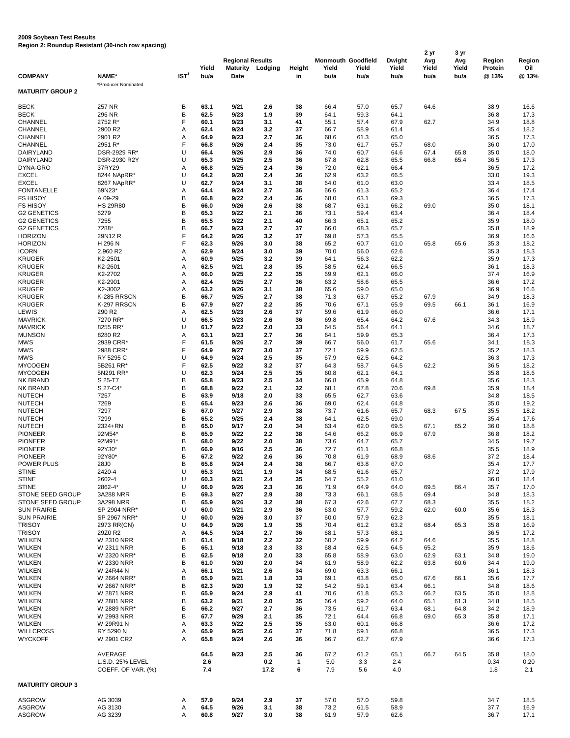## **2009 Soybean Test Results**

|  |  |  | Region 2: Roundup Resistant (30-inch row spacing) |  |  |  |  |
|--|--|--|---------------------------------------------------|--|--|--|--|
|--|--|--|---------------------------------------------------|--|--|--|--|

|                                          |                        |                  |               |                                |            |               |               |                           |               |               | 3 yr          |                         |              |  |
|------------------------------------------|------------------------|------------------|---------------|--------------------------------|------------|---------------|---------------|---------------------------|---------------|---------------|---------------|-------------------------|--------------|--|
|                                          |                        |                  |               | <b>Regional Results</b>        |            |               |               | <b>Monmouth Goodfield</b> | <b>Dwight</b> | Avg           | Avg           | <b>Region</b>           | Region       |  |
| <b>COMPANY</b>                           | NAME*                  | IST <sup>1</sup> | Yield<br>bu/a | <b>Maturity</b><br><b>Date</b> | Lodging    | <b>Height</b> | Yield<br>bu/a | Yield                     | Yield<br>bu/a | Yield<br>bu/a | Yield<br>bu/a | <b>Protein</b><br>@ 13% | Oil<br>@13%  |  |
|                                          | *Producer Nominated    |                  |               |                                |            | in            |               | bu/a                      |               |               |               |                         |              |  |
| <b>MATURITY GROUP 2</b>                  |                        |                  |               |                                |            |               |               |                           |               |               |               |                         |              |  |
|                                          |                        |                  |               |                                |            |               |               |                           |               |               |               |                         |              |  |
| <b>BECK</b>                              | 257 NR                 | В                | 63.1          | 9/21                           | 2.6        | 38            | 66.4          | 57.0                      | 65.7          | 64.6          |               | 38.9                    | 16.6         |  |
| <b>BECK</b>                              | 296 NR                 | B                | 62.5          | 9/23                           | 1.9        | 39            | 64.1          | 59.3                      | 64.1          |               |               | 36.8                    | 17.3         |  |
| <b>CHANNEL</b><br><b>CHANNEL</b>         | 2752 R*<br>2900 R2     | F                | 60.1<br>62.4  | 9/23<br>9/24                   | 3.1<br>3.2 | 41<br>37      | 55.1<br>66.7  | 57.4<br>58.9              | 67.9<br>61.4  | 62.7          |               | 34.9<br>35.4            | 18.8<br>18.2 |  |
| <b>CHANNEL</b>                           | 2901 R2                | A<br>A           | 64.9          | 9/23                           | 2.7        | 36            | 68.6          | 61.3                      | 65.0          |               |               | 36.5                    | 17.3         |  |
| <b>CHANNEL</b>                           | 2951 R*                | F                | 66.8          | 9/26                           | 2.4        | 35            | 73.0          | 61.7                      | 65.7          | 68.0          |               | 36.0                    | 17.0         |  |
| <b>DAIRYLAND</b>                         | DSR-2929 RR*           | U                | 66.4          | 9/26                           | 2.9        | 36            | 74.0          | 60.7                      | 64.6          | 67.4          | 65.8          | 35.0                    | 18.0         |  |
| <b>DAIRYLAND</b>                         | DSR-2930 R2Y           | U                | 65.3          | 9/25                           | 2.5        | 36            | 67.8          | 62.8                      | 65.5          | 66.8          | 65.4          | 36.5                    | 17.3         |  |
| DYNA-GRO                                 | 37RY29                 | Α                | 66.8          | 9/25                           | 2.4        | 36            | 72.0          | 62.1                      | 66.4          |               |               | 36.5                    | 17.2         |  |
| <b>EXCEL</b>                             | 8244 NApRR*            | U                | 64.2          | 9/20                           | 2.4        | 36            | 62.9          | 63.2                      | 66.5          |               |               | 33.0                    | 19.3         |  |
| <b>EXCEL</b>                             | 8267 NApRR*            | U                | 62.7          | 9/24                           | 3.1        | 38            | 64.0          | 61.0                      | 63.0          |               |               | 33.4                    | 18.5         |  |
| <b>FONTANELLE</b>                        | 69N23*                 | Α                | 64.4          | 9/24                           | 2.7        | 36            | 66.6          | 61.3                      | 65.2          |               |               | 36.4                    | 17.4         |  |
| <b>FS HISOY</b>                          | A 09-29                | В                | 66.8          | 9/22                           | 2.4        | 36            | 68.0          | 63.1                      | 69.3          |               |               | 36.5                    | 17.3         |  |
| <b>FS HISOY</b>                          | <b>HS 29R80</b>        | B                | 66.0          | 9/26                           | 2.6        | 38            | 68.7          | 63.1                      | 66.2          | 69.0          |               | 35.0                    | 18.1         |  |
| <b>G2 GENETICS</b><br><b>G2 GENETICS</b> | 6279<br>7255           | B<br>B           | 65.3<br>65.5  | 9/22<br>9/22                   | 2.1<br>2.1 | 36<br>40      | 73.1<br>66.3  | 59.4<br>65.1              | 63.4<br>65.2  |               |               | 36.4<br>35.9            | 18.4<br>18.0 |  |
| <b>G2 GENETICS</b>                       | 7288*                  | B                | 66.7          | 9/23                           | 2.7        | 37            | 66.0          | 68.3                      | 65.7          |               |               | 35.8                    | 18.9         |  |
| <b>HORIZON</b>                           | 29N12 R                | F                | 64.2          | 9/26                           | 3.2        | 37            | 69.8          | 57.3                      | 65.5          |               |               | 36.9                    | 16.6         |  |
| <b>HORIZON</b>                           | H 296 N                | F                | 62.3          | 9/26                           | 3.0        | 38            | 65.2          | 60.7                      | 61.0          | 65.8          | 65.6          | 35.3                    | 18.2         |  |
| <b>ICORN</b>                             | 2.960 R2               | A                | 62.9          | 9/24                           | 3.0        | 39            | 70.0          | 56.0                      | 62.6          |               |               | 35.3                    | 18.3         |  |
| <b>KRUGER</b>                            | K2-2501                | A                | 60.9          | 9/25                           | 3.2        | 39            | 64.1          | 56.3                      | 62.2          |               |               | 35.9                    | 17.3         |  |
| <b>KRUGER</b>                            | K2-2601                | A                | 62.5          | 9/21                           | 2.8        | 35            | 58.5          | 62.4                      | 66.5          |               |               | 36.1                    | 18.3         |  |
| <b>KRUGER</b>                            | K2-2702                | А                | 66.0          | 9/25                           | 2.2        | 35            | 69.9          | 62.1                      | 66.0          |               |               | 37.4                    | 16.9         |  |
| <b>KRUGER</b>                            | K2-2901                | A                | 62.4          | 9/25                           | 2.7        | 36            | 63.2          | 58.6                      | 65.5          |               |               | 36.6                    | 17.2         |  |
| <b>KRUGER</b>                            | K2-3002                | Α                | 63.2          | 9/26                           | 3.1        | 38            | 65.6          | 59.0                      | 65.0          |               |               | 36.9                    | 16.6         |  |
| <b>KRUGER</b>                            | K-285 RRSCN            | B                | 66.7          | 9/25                           | 2.7        | 38            | 71.3          | 63.7                      | 65.2          | 67.9          |               | 34.9                    | 18.3         |  |
| <b>KRUGER</b>                            | K-297 RRSCN            | B                | 67.9          | 9/27                           | 2.2        | 35            | 70.6          | 67.1                      | 65.9          | 69.5          | 66.1          | 36.1                    | 16.9         |  |
| LEWIS                                    | 290 R <sub>2</sub>     | A                | 62.5          | 9/23                           | 2.6        | 37            | 59.6          | 61.9                      | 66.0          |               |               | 36.6                    | 17.1         |  |
| <b>MAVRICK</b>                           | 7270 RR*               | U                | 66.5          | 9/23<br>9/22                   | 2.6        | 36            | 69.8          | 65.4                      | 64.2          | 67.6          |               | 34.3                    | 18.9         |  |
| <b>MAVRICK</b><br><b>MUNSON</b>          | 8255 RR*<br>8280 R2    | U<br>A           | 61.7<br>63.1  | 9/23                           | 2.0<br>2.7 | 33<br>36      | 64.5<br>64.1  | 56.4<br>59.9              | 64.1<br>65.3  |               |               | 34.6<br>36.4            | 18.7<br>17.3 |  |
| <b>MWS</b>                               | 2939 CRR*              |                  | 61.5          | 9/26                           | 2.7        | 39            | 66.7          | 56.0                      | 61.7          | 65.6          |               | 34.1                    | 18.3         |  |
| <b>MWS</b>                               | 2988 CRR*              | F                | 64.9          | 9/27                           | 3.0        | 37            | 72.1          | 59.9                      | 62.5          |               |               | 35.2                    | 18.3         |  |
| <b>MWS</b>                               | RY 5295 C              | U                | 64.9          | 9/24                           | 2.5        | 35            | 67.9          | 62.5                      | 64.2          |               |               | 36.3                    | 17.3         |  |
| <b>MYCOGEN</b>                           | 5B261 RR*              | F                | 62.5          | 9/22                           | 3.2        | 37            | 64.3          | 58.7                      | 64.5          | 62.2          |               | 36.5                    | 18.2         |  |
| <b>MYCOGEN</b>                           | 5N291 RR*              | U                | 62.3          | 9/24                           | 2.5        | 35            | 60.8          | 62.1                      | 64.1          |               |               | 35.8                    | 18.6         |  |
| NK BRAND                                 | S 25-T7                | B                | 65.8          | 9/23                           | 2.5        | 34            | 66.8          | 65.9                      | 64.8          |               |               | 35.6                    | 18.3         |  |
| <b>NK BRAND</b>                          | S 27-C4*               | B                | 68.8          | 9/22                           | 2.1        | 32            | 68.1          | 67.8                      | 70.6          | 69.8          |               | 35.9                    | 18.4         |  |
| <b>NUTECH</b>                            | 7257                   | B                | 63.9          | 9/18                           | 2.0        | 33            | 65.5          | 62.7                      | 63.6          |               |               | 34.8                    | 18.5         |  |
| <b>NUTECH</b>                            | 7269                   | B                | 65.4          | 9/23                           | 2.6        | 36            | 69.0          | 62.4                      | 64.8          |               |               | 35.0                    | 19.2         |  |
| <b>NUTECH</b>                            | 7297                   | B                | 67.0          | 9/27                           | 2.9        | 38            | 73.7          | 61.6                      | 65.7          | 68.3          | 67.5          | 35.5                    | 18.2         |  |
| <b>NUTECH</b>                            | 7299                   | B                | 65.2          | 9/25                           | 2.4        | 38            | 64.1          | 62.5                      | 69.0          |               |               | 35.4                    | 17.6         |  |
| <b>NUTECH</b><br><b>PIONEER</b>          | 2324+RN<br>92M54*      | B<br>B           | 65.0<br>65.9  | 9/17<br>9/22                   | 2.0<br>2.2 | 34<br>38      | 63.4<br>64.6  | 62.0<br>66.2              | 69.5<br>66.9  | 67.1<br>67.9  | 65.2          | 36.0<br>36.8            | 18.8<br>18.2 |  |
| <b>PIONEER</b>                           | 92M91*                 | B                | 68.0          | 9/22                           | 2.0        | 38            | 73.6          | 64.7                      | 65.7          |               |               | 34.5                    | 19.7         |  |
| <b>PIONEER</b>                           | 92Y30*                 | B                | 66.9          | 9/16                           | 2.5        | 36            | 72.7          | 61.1                      | 66.8          |               |               | 35.5                    | 18.9         |  |
| <b>PIONEER</b>                           | 92Y80*                 | B                | 67.2          | 9/22                           | 2.6        | 36            | 70.8          | 61.9                      | 68.9          | 68.6          |               | 37.2                    | 18.4         |  |
| <b>POWER PLUS</b>                        | 28J0                   | B                | 65.8          | 9/24                           | 2.4        | 38            | 66.7          | 63.8                      | 67.0          |               |               | 35.4                    | 17.7         |  |
| <b>STINE</b>                             | 2420-4                 | U                | 65.3          | 9/21                           | 1.9        | 34            | 68.5          | 61.6                      | 65.7          |               |               | 37.2                    | 17.9         |  |
| <b>STINE</b>                             | 2602-4                 | U                | 60.3          | 9/21                           | 2.4        | 35            | 64.7          | 55.2                      | 61.0          |               |               | 36.0                    | 18.4         |  |
| <b>STINE</b>                             | 2862-4*                | U                | 66.9          | 9/26                           | 2.3        | 36            | 71.9          | 64.9                      | 64.0          | 69.5          | 66.4          | 35.7                    | 17.0         |  |
| STONE SEED GROUP                         | 3A288 NRR              | B                | 69.3          | 9/27                           | 2.9        | 38            | 73.3          | 66.1                      | 68.5          | 69.4          |               | 34.8                    | 18.3         |  |
| STONE SEED GROUP                         | 3A298 NRR              | B                | 65.9          | 9/26                           | 3.2        | 38            | 67.3          | 62.6                      | 67.7          | 68.3          |               | 35.5                    | 18.2         |  |
| <b>SUN PRAIRIE</b>                       | SP 2904 NRR*           | U                | 60.0          | 9/21                           | 2.9        | 36            | 63.0          | 57.7                      | 59.2          | 62.0          | 60.0          | 35.6                    | 18.3         |  |
| <b>SUN PRAIRIE</b><br><b>TRISOY</b>      | SP 2967 NRR*           | U<br>U           | 60.0<br>64.9  | 9/26<br>9/26                   | 3.0<br>1.9 | 37<br>35      | 60.0<br>70.4  | 57.9<br>61.2              | 62.3<br>63.2  | 68.4          | 65.3          | 35.5<br>35.8            | 18.1<br>16.9 |  |
| <b>TRISOY</b>                            | 2973 RR(CN)<br>29Z0 R2 | Α                | 64.5          | 9/24                           | 2.7        | 36            | 68.1          | 57.3                      | 68.1          |               |               | 36.5                    | 17.2         |  |
| <b>WILKEN</b>                            | <b>W 2310 NRR</b>      | В                | 61.4          | 9/18                           | 2.2        | 32            | 60.2          | 59.9                      | 64.2          | 64.6          |               | 35.5                    | 18.8         |  |
| <b>WILKEN</b>                            | <b>W 2311 NRR</b>      | B                | 65.1          | 9/18                           | 2.3        | 33            | 68.4          | 62.5                      | 64.5          | 65.2          |               | 35.9                    | 18.6         |  |
| <b>WILKEN</b>                            | W 2320 NRR*            | B                | 62.5          | 9/18                           | 2.0        | 33            | 65.8          | 58.9                      | 63.0          | 62.9          | 63.1          | 34.8                    | 19.0         |  |
| <b>WILKEN</b>                            | <b>W 2330 NRR</b>      | B                | 61.0          | 9/20                           | 2.0        | 34            | 61.9          | 58.9                      | 62.2          | 63.8          | 60.6          | 34.4                    | 19.0         |  |
| <b>WILKEN</b>                            | W 24R44 N              | Α                | 66.1          | 9/21                           | 2.6        | 34            | 69.0          | 63.3                      | 66.1          |               |               | 36.1                    | 18.3         |  |
| <b>WILKEN</b>                            | W 2664 NRR*            | В                | 65.9          | 9/21                           | 1.8        | 33            | 69.1          | 63.8                      | 65.0          | 67.6          | 66.1          | 35.6                    | 17.7         |  |
| <b>WILKEN</b>                            | W 2667 NRR*            | В                | 62.3          | 9/20                           | 1.9        | 32            | 64.2          | 59.1                      | 63.4          | 66.1          |               | 34.8                    | 18.6         |  |
| WILKEN                                   | <b>W 2871 NRR</b>      | В                | 65.9          | 9/24                           | 2.9        | 41            | 70.6          | 61.8                      | 65.3          | 66.2          | 63.5          | 35.0                    | 18.8         |  |
| <b>WILKEN</b>                            | <b>W 2881 NRR</b>      | В                | 63.2          | 9/21                           | 2.0        | 35            | 66.4          | 59.2                      | 64.0          | 65.1          | 61.3          | 34.8                    | 18.5         |  |
| <b>WILKEN</b>                            | W 2889 NRR*            | B                | 66.2          | 9/27                           | 2.7        | 36            | 73.5          | 61.7                      | 63.4          | 68.1          | 64.8          | 34.2                    | 18.9         |  |
| <b>WILKEN</b>                            | <b>W 2993 NRR</b>      | В                | 67.7          | 9/29                           | 2.1        | 35            | 72.1          | 64.4                      | 66.8          | 69.0          | 65.3          | 35.8                    | 17.1         |  |
| <b>WILKEN</b><br><b>WILLCROSS</b>        | W 29R91 N<br>RY 5290 N | Α                | 63.3<br>65.9  | 9/22<br>9/25                   | 2.5<br>2.6 | 35<br>37      | 63.0<br>71.8  | 60.1<br>59.1              | 66.8<br>66.8  |               |               | 36.6<br>36.5            | 17.2         |  |
| <b>WYCKOFF</b>                           | W 2901 CR2             | Α<br>A           | 65.8          | 9/24                           | 2.6        | 36            | 66.7          | 62.7                      | 67.9          |               |               | 36.6                    | 17.3<br>17.3 |  |
|                                          |                        |                  |               |                                |            |               |               |                           |               |               |               |                         |              |  |
|                                          | AVERAGE                |                  | 64.5          | 9/23                           | 2.5        | 36            | 67.2          | 61.2                      | 65.1          | 66.7          | 64.5          | 35.8                    | 18.0         |  |
|                                          | L.S.D. 25% LEVEL       |                  | 2.6           |                                | 0.2        | $\mathbf{1}$  | 5.0           | 3.3                       | 2.4           |               |               | 0.34                    | 0.20         |  |
|                                          | COEFF. OF VAR. (%)     |                  | 7.4           |                                | 17.2       | 6             | 7.9           | 5.6                       | 4.0           |               |               | 1.8                     | 2.1          |  |
|                                          |                        |                  |               |                                |            |               |               |                           |               |               |               |                         |              |  |
| <b>MATURITY GROUP 3</b>                  |                        |                  |               |                                |            |               |               |                           |               |               |               |                         |              |  |
|                                          |                        |                  |               |                                |            |               |               |                           |               |               |               |                         |              |  |
| <b>ASGROW</b><br><b>ASGROW</b>           | AG 3039<br>AG 3130     | A<br>A           | 57.9<br>64.5  | 9/24<br>9/26                   | 2.9<br>3.1 | 37<br>38      | 57.0<br>73.2  | 57.0<br>61.5              | 59.8<br>58.9  |               |               | 34.7<br>37.7            | 18.5<br>16.9 |  |
| <b>ASGROW</b>                            | AG 3239                | A                | 60.8          | 9/27                           | 3.0        | 38            | 61.9          | 57.9                      | 62.6          |               |               | 36.7                    | 17.1         |  |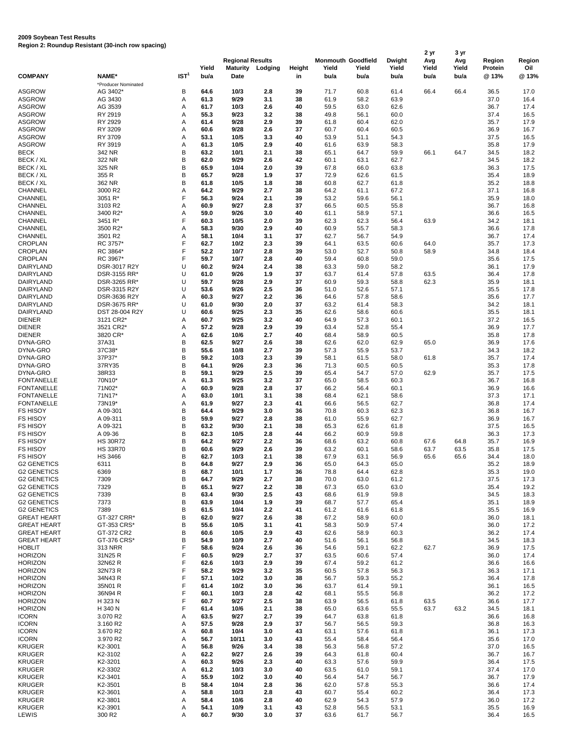## **2009 Soybean Test Results Region 2: Roundup Resistant (30-inch row spacing)**

|                    |                     |                  |       | <b>Regional Results</b> |         |               |       |                           |               | 2 yr  | 3 yr  |                |        |  |
|--------------------|---------------------|------------------|-------|-------------------------|---------|---------------|-------|---------------------------|---------------|-------|-------|----------------|--------|--|
|                    |                     |                  |       |                         |         |               |       | <b>Monmouth Goodfield</b> | <b>Dwight</b> | Avg   | Avg   | <b>Region</b>  | Region |  |
|                    |                     |                  | Yield | <b>Maturity</b>         | Lodging | <b>Height</b> | Yield | Yield                     | Yield         | Yield | Yield | <b>Protein</b> | Oil    |  |
| <b>COMPANY</b>     | NAME*               | IST <sup>1</sup> | bu/a  | <b>Date</b>             |         | in            | bu/a  | bu/a                      | bu/a          | bu/a  | bu/a  | @13%           | @ 13%  |  |
|                    | *Producer Nominated |                  |       |                         |         |               |       |                           |               |       |       |                |        |  |
| <b>ASGROW</b>      | AG 3402*            | В                | 64.6  | 10/3                    | 2.8     | 39            | 71.7  | 60.8                      | 61.4          | 66.4  | 66.4  | 36.5           | 17.0   |  |
| <b>ASGROW</b>      | AG 3430             | Α                | 61.3  | 9/29                    | 3.1     | 38            | 61.9  | 58.2                      | 63.9          |       |       | 37.0           | 16.4   |  |
| <b>ASGROW</b>      | AG 3539             | Α                | 61.7  | 10/3                    | 2.6     | 40            | 59.5  | 63.0                      | 62.6          |       |       | 36.7           | 17.4   |  |
| <b>ASGROW</b>      | RY 2919             | Α                | 55.3  | 9/23                    | 3.2     | 38            | 49.8  | 56.1                      | 60.0          |       |       | 37.4           | 16.5   |  |
| <b>ASGROW</b>      | RY 2929             | Α                | 61.4  | 9/28                    | 2.9     | 39            | 61.8  | 60.4                      | 62.0          |       |       | 35.7           | 17.9   |  |
| <b>ASGROW</b>      | RY 3209             | Α                | 60.6  | 9/28                    | 2.6     | 37            | 60.7  | 60.4                      | 60.5          |       |       | 36.9           | 16.7   |  |
| <b>ASGROW</b>      | RY 3709             | Α                | 53.1  | 10/5                    | 3.3     | 40            | 53.9  | 51.1                      | 54.3          |       |       | 37.5           | 16.5   |  |
| <b>ASGROW</b>      | RY 3919             | Α                | 61.3  | 10/5                    | 2.9     | 40            | 61.6  | 63.9                      | 58.3          |       |       | 35.8           | 17.9   |  |
| <b>BECK</b>        | 342 NR              | B                | 63.2  | 10/1                    | 2.1     | 38            | 65.1  | 64.7                      | 59.9          | 66.1  | 64.7  | 34.5           | 18.2   |  |
| BECK / XL          | 322 NR              | B                | 62.0  | 9/29                    | 2.6     | 42            | 60.1  | 63.1                      | 62.7          |       |       | 34.5           | 18.2   |  |
| BECK / XL          | 325 NR              | B                | 65.9  | 10/4                    | 2.0     | 39            | 67.8  | 66.0                      | 63.8          |       |       | 36.3           | 17.5   |  |
| BECK / XL          | 355 R               | B                | 65.7  | 9/28                    | 1.9     | 37            | 72.9  | 62.6                      | 61.5          |       |       | 35.4           | 18.9   |  |
| BECK / XL          | 362 NR              | B                | 61.8  | 10/5                    | 1.8     | 38            | 60.8  | 62.7                      | 61.8          |       |       | 35.2           | 18.8   |  |
| <b>CHANNEL</b>     | 3000 R2             | Α                | 64.2  | 9/29                    | 2.7     | 38            | 64.2  | 61.1                      | 67.2          |       |       | 37.1           | 16.8   |  |
| <b>CHANNEL</b>     | 3051 R*             | F                | 56.3  | 9/24                    | 2.1     | 39            | 53.2  | 59.6                      | 56.1          |       |       | 35.9           | 18.0   |  |
| <b>CHANNEL</b>     | 3103 R2             | Α                | 60.9  | 9/27                    | 2.8     | 37            | 66.5  | 60.5                      | 55.8          |       |       | 36.7           | 16.8   |  |
| <b>CHANNEL</b>     | 3400 R2*            | Α                | 59.0  | 9/26                    | 3.0     | 40            | 61.1  | 58.9                      | 57.1          |       |       | 36.6           | 16.5   |  |
| <b>CHANNEL</b>     | 3451 R*             | F                | 60.3  | 10/5                    | 2.0     | 39            | 62.3  | 62.3                      | 56.4          | 63.9  |       | 34.2           | 18.1   |  |
| <b>CHANNEL</b>     | 3500 R2*            | Α                | 58.3  | 9/30                    | 2.9     | 40            | 60.9  | 55.7                      | 58.3          |       |       | 36.6           | 17.8   |  |
| <b>CHANNEL</b>     | 3501 R2             | Α                | 58.1  | 10/4                    | 3.1     | 37            | 62.7  | 56.7                      | 54.9          |       |       | 36.7           | 17.4   |  |
| <b>CROPLAN</b>     | RC 3757*            | F                | 62.7  | $10/2$                  | 2.3     | 39            | 64.1  | 63.5                      | 60.6          | 64.0  |       | 35.7           | 17.3   |  |
| <b>CROPLAN</b>     | RC 3864*            | F                | 52.2  | 10/7                    | 2.8     | 39            | 53.0  | 52.7                      | 50.8          | 58.9  |       | 34.8           | 18.4   |  |
| <b>CROPLAN</b>     | RC 3967*            | F                | 59.7  | 10/7                    | 2.8     | 40            | 59.4  | 60.8                      | 59.0          |       |       | 35.6           | 17.5   |  |
| <b>DAIRYLAND</b>   | DSR-3017 R2Y        | U                | 60.2  | 9/24                    | 2.4     | 38            | 63.3  | 59.0                      | 58.2          |       |       | 36.1           | 17.9   |  |
| <b>DAIRYLAND</b>   | DSR-3155 RR*        | U                | 61.0  | 9/26                    | 1.9     | 37            | 63.7  | 61.4                      | 57.8          | 63.5  |       | 36.4           | 17.8   |  |
| <b>DAIRYLAND</b>   | DSR-3265 RR*        | U                | 59.7  | 9/28                    | 2.9     | 37            | 60.9  | 59.3                      | 58.8          | 62.3  |       | 35.9           | 18.1   |  |
| <b>DAIRYLAND</b>   | DSR-3315 R2Y        | U                | 53.6  | 9/26                    | 2.5     | 36            | 51.0  | 52.6                      | 57.1          |       |       | 35.5           | 17.8   |  |
| DAIRYLAND          | DSR-3636 R2Y        | A                | 60.3  | 9/27                    | 2.2     | 36            | 64.6  | 57.8                      | 58.6          |       |       | 35.6           | 17.7   |  |
| <b>DAIRYLAND</b>   | DSR-3675 RR*        | U                | 61.0  | 9/30                    | 2.0     | 37            | 63.2  | 61.4                      | 58.3          |       |       | 34.2           | 18.1   |  |
| <b>DAIRYLAND</b>   | DST 28-004 R2Y      | U                | 60.6  | 9/25                    | 2.3     | 35            | 62.6  | 58.6                      | 60.6          |       |       | 35.5           | 18.1   |  |
| <b>DIENER</b>      | 3121 CR2*           | A                | 60.7  | 9/25                    | 3.2     | 40            | 64.9  | 57.3                      | 60.1          |       |       | 37.2           | 16.5   |  |
| <b>DIENER</b>      | 3521 CR2*           | A                | 57.2  | 9/28                    | 2.9     | 39            | 63.4  | 52.8                      | 55.4          |       |       | 36.9           | 17.7   |  |
| <b>DIENER</b>      | 3820 CR*            | Α                | 62.6  | 10/6                    | 2.7     | 40            | 68.4  | 58.9                      | 60.5          |       |       | 35.8           | 17.8   |  |
| DYNA-GRO           | 37A31               | B                | 62.5  | 9/27                    | 2.6     | 38            | 62.6  | 62.0                      | 62.9          | 65.0  |       | 36.9           | 17.6   |  |
| DYNA-GRO           | 37C38*              | B                | 55.6  | 10/8                    | 2.7     | 39            | 57.3  | 55.9                      | 53.7          |       |       | 34.3           | 18.2   |  |
| DYNA-GRO           | 37P37*              | B                | 59.2  | 10/3                    | 2.3     | 39            | 58.1  | 61.5                      | 58.0          | 61.8  |       | 35.7           | 17.4   |  |
| DYNA-GRO           | 37RY35              | Β                | 64.1  | 9/26                    | 2.3     | 36            | 71.3  | 60.5                      | 60.5          |       |       | 35.3           | 17.8   |  |
| DYNA-GRO           | 38R33               | Β                | 59.1  | 9/29                    | 2.5     | 39            | 65.4  | 54.7                      | 57.0          | 62.9  |       | 35.7           | 17.5   |  |
| <b>FONTANELLE</b>  | 70N10*              | Α                | 61.3  | 9/25                    | 3.2     | 37            | 65.0  | 58.5                      | 60.3          |       |       | 36.7           | 16.8   |  |
| <b>FONTANELLE</b>  | 71N02*              | Α                | 60.9  | 9/28                    | 2.8     | 37            | 66.2  | 56.4                      | 60.1          |       |       | 36.9           | 16.6   |  |
| <b>FONTANELLE</b>  | 71N17*              | Α                | 63.0  | 10/1                    | 3.1     | 38            | 68.4  | 62.1                      | 58.6          |       |       | 37.3           | 17.1   |  |
| <b>FONTANELLE</b>  | 73N19*              | Α                | 61.9  | 9/27                    | 2.3     | 41            | 66.6  | 56.5                      | 62.7          |       |       | 36.8           | 17.4   |  |
| <b>FS HISOY</b>    | A 09-301            | B                | 64.4  | 9/29                    | 3.0     | 36            | 70.8  | 60.3                      | 62.3          |       |       | 36.8           | 16.7   |  |
| <b>FS HISOY</b>    | A 09-311            | B                | 59.9  | 9/27                    | 2.8     | 38            | 61.0  | 55.9                      | 62.7          |       |       | 36.9           | 16.7   |  |
| <b>FS HISOY</b>    | A 09-321            | B                | 63.2  | 9/30                    | 2.1     | 38            | 65.3  | 62.6                      | 61.8          |       |       | 37.5           | 16.5   |  |
| <b>FS HISOY</b>    | A 09-36             | Β                | 62.3  | 10/5                    | 2.8     | 44            | 66.2  | 60.9                      | 59.8          |       |       | 36.3           | 17.3   |  |
| <b>FS HISOY</b>    | <b>HS 30R72</b>     | Β                | 64.2  | 9/27                    | 2.2     | 36            | 68.6  | 63.2                      | 60.8          | 67.6  | 64.8  | 35.7           | 16.9   |  |
| <b>FS HISOY</b>    | <b>HS 33R70</b>     | B                | 60.6  | 9/29                    | 2.6     | 39            | 63.2  | 60.1                      | 58.6          | 63.7  | 63.5  | 35.8           | 17.5   |  |
| <b>FS HISOY</b>    | <b>HS 3466</b>      | B                | 62.7  | 10/3                    | 2.1     | 38            | 67.9  | 63.1                      | 56.9          | 65.6  | 65.6  | 34.4           | 18.0   |  |
| <b>G2 GENETICS</b> | 6311                | B                | 64.8  | 9/27                    | 2.9     | 36            | 65.0  | 64.3                      | 65.0          |       |       | 35.2           | 18.9   |  |
| <b>G2 GENETICS</b> | 6369                | B                | 68.7  | 10/1                    | 1.7     | 36            | 78.8  | 64.4                      | 62.8          |       |       | 35.3           | 19.0   |  |
| <b>G2 GENETICS</b> | 7309                | B                | 64.7  | 9/29                    | 2.7     | 38            | 70.0  | 63.0                      | 61.2          |       |       | 37.5           | 17.3   |  |
| <b>G2 GENETICS</b> | 7329                | B                | 65.1  | 9/27                    | 2.2     | 38            | 67.3  | 65.0                      | 63.0          |       |       | 35.4           | 19.2   |  |
| <b>G2 GENETICS</b> | 7339                | B                | 63.4  | 9/30                    | 2.5     | 43            | 68.6  | 61.9                      | 59.8          |       |       | 34.5           | 18.3   |  |
| <b>G2 GENETICS</b> | 7373                | B                | 63.9  | 10/4                    | 1.9     | 39            | 68.7  | 57.7                      | 65.4          |       |       | 35.1           | 18.9   |  |
| <b>G2 GENETICS</b> | 7389                | В                | 61.5  | 10/4                    | 2.2     | 41            | 61.2  | 61.6                      | 61.8          |       |       | 35.5           | 16.9   |  |
| <b>GREAT HEART</b> | GT-327 CRR*         | Β                | 62.0  | 9/27                    | 2.6     | 38            | 67.2  | 58.9                      | 60.0          |       |       | 36.0           | 18.1   |  |
| <b>GREAT HEART</b> | GT-353 CRS*         | в                | 55.6  | 10/5                    | 3.1     | 41            | 58.3  | 50.9                      | 57.4          |       |       | 36.0           | 17.2   |  |
| <b>GREAT HEART</b> | GT-372 CR2          | Β                | 60.6  | 10/5                    | 2.9     | 43            | 62.6  | 58.9                      | 60.3          |       |       | 36.2           | 17.4   |  |
| <b>GREAT HEART</b> | GT-376 CRS*         | B                | 54.9  | 10/9                    | 2.7     | 40            | 51.6  | 56.1                      | 56.8          |       |       | 34.5           | 18.3   |  |
| <b>HOBLIT</b>      | <b>313 NRR</b>      |                  | 58.6  | 9/24                    | 2.6     | 36            | 54.6  | 59.1                      | 62.2          | 62.7  |       | 36.9           | 17.5   |  |
| <b>HORIZON</b>     | 31N25 R             |                  | 60.5  | 9/29                    | 2.7     | 37            | 63.5  | 60.6                      | 57.4          |       |       | 36.0           | 17.4   |  |
| <b>HORIZON</b>     | 32N62 R             |                  | 62.6  | 10/3                    | 2.9     | 39            | 67.4  | 59.2                      | 61.2          |       |       | 36.6           | 16.6   |  |
| <b>HORIZON</b>     | 32N73R              |                  | 58.2  | 9/29                    | 3.2     | 35            | 60.5  | 57.8                      | 56.3          |       |       | 36.3           | 17.1   |  |
| <b>HORIZON</b>     | 34N43R              |                  | 57.1  | 10/2                    | 3.0     | 38            | 56.7  | 59.3                      | 55.2          |       |       | 36.4           | 17.8   |  |
| <b>HORIZON</b>     | 35N01 R             |                  | 61.4  | 10/2                    | 3.0     | 36            | 63.7  | 61.4                      | 59.1          |       |       | 36.1           | 16.5   |  |
| <b>HORIZON</b>     | 36N94 R             |                  | 60.1  | 10/3                    | 2.8     | 42            | 68.1  | 55.5                      | 56.8          |       |       | 36.2           | 17.2   |  |
| <b>HORIZON</b>     | H 323 N             |                  | 60.7  | 9/27                    | 2.5     | 38            | 63.9  | 56.5                      | 61.8          | 63.5  |       | 36.6           | 17.7   |  |
| <b>HORIZON</b>     | H 340 N             |                  | 61.4  | 10/6                    | 2.1     | 38            | 65.0  | 63.6                      | 55.5          | 63.7  | 63.2  | 34.5           | 18.1   |  |
| <b>ICORN</b>       | 3.070 R2            | Α                | 63.5  | 9/27                    | 2.7     | 39            | 64.7  | 63.8                      | 61.8          |       |       | 36.6           | 16.8   |  |
| <b>ICORN</b>       | 3.160 R2            | Α                | 57.5  | 9/28                    | 2.9     | 37            | 56.7  | 56.5                      | 59.3          |       |       | 36.8           | 16.3   |  |
| <b>ICORN</b>       | 3.670 R2            | Α                | 60.8  | 10/4                    | 3.0     | 43            | 63.1  | 57.6                      | 61.8          |       |       | 36.1           | 17.3   |  |
| <b>ICORN</b>       | 3.970 R2            | Α                | 56.7  | 10/11                   | 3.0     | 43            | 55.4  | 58.4                      | 56.4          |       |       | 35.6           | 17.0   |  |
| <b>KRUGER</b>      | K2-3001             | Α                | 56.8  | 9/26                    | 3.4     | 38            | 56.3  | 56.8                      | 57.2          |       |       | 37.0           | 16.5   |  |
| <b>KRUGER</b>      | K2-3102             | Α                | 62.2  | 9/27                    | 2.6     | 39            | 64.3  | 61.8                      | 60.4          |       |       | 36.7           | 16.7   |  |
| <b>KRUGER</b>      | K2-3201             | Α                | 60.3  | 9/26                    | 2.3     | 40            | 63.3  | 57.6                      | 59.9          |       |       | 36.4           | 17.5   |  |
| <b>KRUGER</b>      | K2-3302             | Α                | 61.2  | 10/3                    | 3.0     | 40            | 63.5  | 61.0                      | 59.1          |       |       | 37.4           | 17.0   |  |
| <b>KRUGER</b>      | K2-3401             | Α                | 55.9  | $10/2$                  | 3.0     | 40            | 56.4  | 54.7                      | 56.7          |       |       | 36.7           | 17.9   |  |
| <b>KRUGER</b>      | K2-3501             | B                | 58.4  | 10/4                    | 2.8     | 36            | 62.0  | 57.8                      | 55.3          |       |       | 36.6           | 17.4   |  |
| <b>KRUGER</b>      | K2-3601             | Α                | 58.8  | 10/3                    | 2.8     | 43            | 60.7  | 55.4                      | 60.2          |       |       | 36.4           | 17.3   |  |
| <b>KRUGER</b>      | K2-3801             | Α                | 58.4  | 10/6                    | 2.8     | 40            | 62.9  | 54.3                      | 57.9          |       |       | 36.0           | 17.2   |  |
| <b>KRUGER</b>      | K2-3901             | Α                | 54.1  | 10/9                    | 3.1     | 43            | 52.8  | 56.5                      | 53.1          |       |       | 35.5           | 16.9   |  |
| LEWIS              | 300 R2              | Α                | 60.7  | 9/30                    | 3.0     | 37            | 63.6  | 61.7                      | 56.7          |       |       | 36.4           | 16.5   |  |